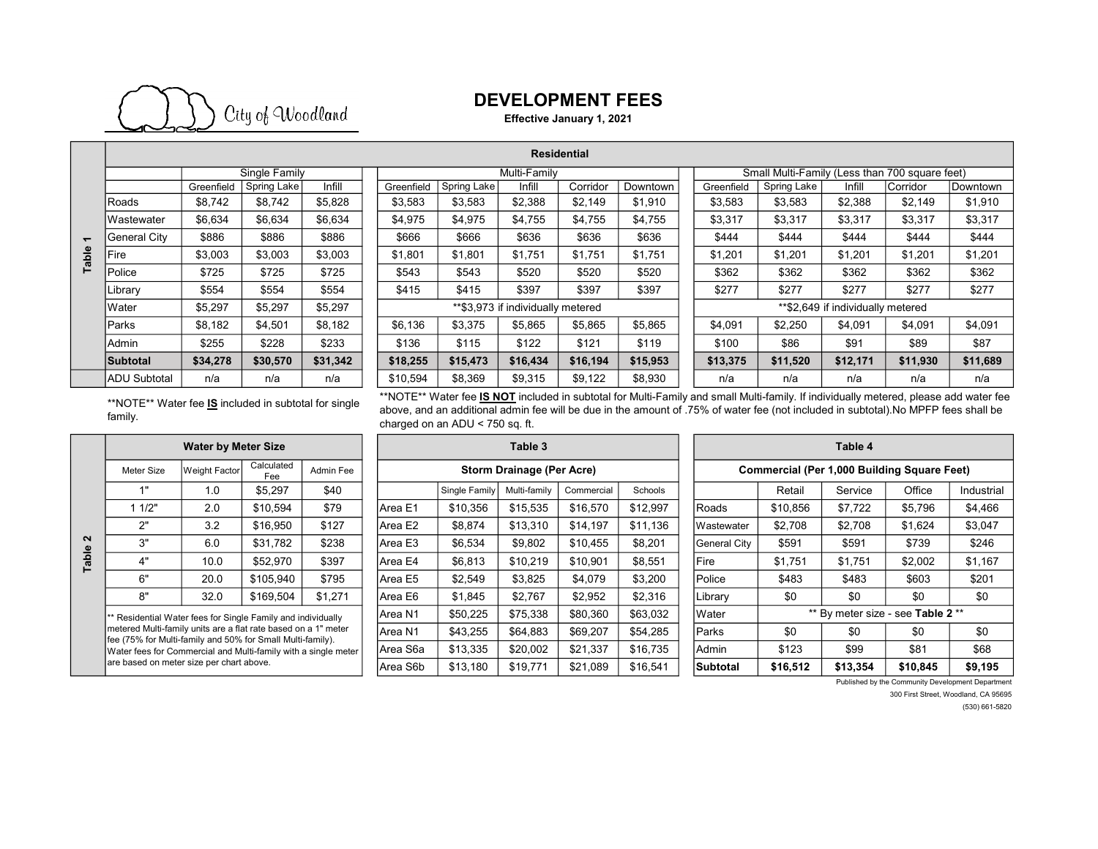

## DEVELOPMENT FEES

Effective January 1, 2021

|                    |                     | Single Family |             |                  |  |  |  |  |  |
|--------------------|---------------------|---------------|-------------|------------------|--|--|--|--|--|
|                    |                     | Greenfield    | Spring Lake | Infill           |  |  |  |  |  |
|                    | Roads               | \$8,742       | \$8,742     | \$5,828          |  |  |  |  |  |
|                    | Wastewater          | \$6,634       | \$6,634     | \$6,634          |  |  |  |  |  |
| Table <sub>1</sub> | <b>General City</b> | \$886         | \$886       | \$886            |  |  |  |  |  |
|                    | Fire                | \$3,003       | \$3,003     | \$3,003<br>\$725 |  |  |  |  |  |
|                    | Police              | \$725         | \$725       |                  |  |  |  |  |  |
|                    | Library             | \$554         | \$554       | \$554            |  |  |  |  |  |
|                    | Water               | \$5,297       | \$5,297     | \$5,297          |  |  |  |  |  |
|                    | Parks               | \$8,182       | \$4,501     | \$8,182          |  |  |  |  |  |
|                    | Admin               | \$255         | \$228       | \$233            |  |  |  |  |  |
|                    | <b>Subtotal</b>     | \$34,278      | \$30,570    | \$31,342         |  |  |  |  |  |
|                    | <b>ADU Subtotal</b> | n/a           | n/a         | n/a              |  |  |  |  |  |

| <b>Residential</b>  |               |             |          |  |              |             |                                   |          |          |                                                |            |             |          |          |          |
|---------------------|---------------|-------------|----------|--|--------------|-------------|-----------------------------------|----------|----------|------------------------------------------------|------------|-------------|----------|----------|----------|
|                     | Single Family |             |          |  | Multi-Family |             |                                   |          |          | Small Multi-Family (Less than 700 square feet) |            |             |          |          |          |
|                     | Greenfield    | Spring Lake | Infill   |  | Greenfield   | Spring Lake | Infill                            | Corridor | Downtown |                                                | Greenfield | Spring Lake | Infill   | Corridor | Downtown |
| Roads               | \$8,742       | \$8,742     | \$5,828  |  | \$3,583      | \$3,583     | \$2,388                           | \$2,149  | \$1,910  |                                                | \$3,583    | \$3,583     | \$2,388  | \$2,149  | \$1,910  |
| Wastewater          | \$6,634       | \$6,634     | \$6,634  |  | \$4,975      | \$4,975     | \$4,755                           | \$4,755  | \$4,755  |                                                | \$3,317    | \$3,317     | \$3,317  | \$3,317  | \$3,317  |
| <b>General City</b> | \$886         | \$886       | \$886    |  | \$666        | \$666       | \$636                             | \$636    | \$636    |                                                | \$444      | \$444       | \$444    | \$444    | \$444    |
| Fire                | \$3,003       | \$3,003     | \$3,003  |  | \$1,801      | \$1,801     | \$1,751                           | \$1,751  | \$1,751  |                                                | \$1,201    | \$1,201     | \$1,201  | \$1,201  | \$1,201  |
| Police              | \$725         | \$725       | \$725    |  | \$543        | \$543       | \$520                             | \$520    | \$520    |                                                | \$362      | \$362       | \$362    | \$362    | \$362    |
| Library             | \$554         | \$554       | \$554    |  | \$415        | \$415       | \$397                             | \$397    | \$397    |                                                | \$277      | \$277       | \$277    | \$277    | \$277    |
| Water               | \$5,297       | \$5,297     | \$5,297  |  |              |             | **\$3,973 if individually metered |          |          | **\$2,649 if individually metered              |            |             |          |          |          |
| Parks               | \$8,182       | \$4,501     | \$8,182  |  | \$6,136      | \$3,375     | \$5,865                           | \$5,865  | \$5,865  |                                                | \$4,091    | \$2,250     | \$4,091  | \$4,091  | \$4,091  |
| Admin               | \$255         | \$228       | \$233    |  | \$136        | \$115       | \$122                             | \$121    | \$119    |                                                | \$100      | \$86        | \$91     | \$89     | \$87     |
| Subtotal            | \$34,278      | \$30,570    | \$31,342 |  | \$18,255     | \$15,473    | \$16,434                          | \$16,194 | \$15,953 |                                                | \$13,375   | \$11,520    | \$12,171 | \$11,930 | \$11,689 |
| ADU Subtotal        | n/a           | n/a         | n/a      |  | \$10,594     | \$8,369     | \$9,315                           | \$9,122  | \$8,930  |                                                | n/a        | n/a         | n/a      | n/a      | n/a      |

\*\*NOTE\*\* Water fee **IS NOT** included in subtotal for Multi-Family and small Multi-family. If individually metered, please add water fee above, and an additional admin fee will be due in the amount of .75% of water fee (not included in subtotal).No MPFP fees shall be

\*\*NOTE\*\* Water fee IS included in subtotal for single family.

Meter Size Weight Factor Calculated Admin Fee  $\begin{array}{c|ccccc}\n\textbf{a} & & 3 & 6.0 & \textbf{$}31,782 & \textbf{$}238 \\
\hline\n\textbf{a} & & 4^{\circ} & & 10.0 & \textbf{$}552,970 & \textbf{$}397\n\end{array}$ Water by Meter Size Table 3 Residential Water fees for Single Family and individually metered Multi-family units are a flat rate based on a 1" meter fee (75% for Multi-family and 50% for Small Multi-family). Water fees for Commercial and Multi-family with a single meter are based on meter size per chart above.

1" | 1.0 | \$5,297 | \$40 | | | Single Family Multi-family Commercial Schools | | | Retail Service | Office | Industrial 1 1/2" | 2.0 |\$10,594 | \$79 | |Area E1 |\$10,356 |\$15,535 |\$16,570 |\$12,997 | |Roads | \$10,856 | \$7,722 | \$5,796 | \$4,466 2" | 3.2 |\$16,950 | \$127 | Area E2 | \$8,874 |\$13,310 |\$14,197 |\$11,136 | Wastewater | \$2,708 | \$2,708 | \$1,624 | \$3,047 3" | 6.0 |\$31,782 | \$238 | |Area E3 | \$6,534 | \$9,802 | \$10,455 | \$8,201 | |General City | \$591 | \$591 | \$739 | \$246 4" | 10.0 | \$52,970 | \$397 | |Area E4 | \$6,813 | \$10,219 | \$10,901 | \$8,551 | |Fire | \$1,751 | \$1,751 | \$2,002 | \$1,167 6" | 20.0 |\$105,940 | \$795 | |Area E5 | \$2,549 | \$3,825 | \$4,079 | \$3,200 | |Police | \$483 | \$483 | \$603 | \$201 8" | 32.0 |\$169,504 | \$1,271 | Area E6 | \$1,845 | \$2,767 | \$2,952 | \$2,316 | Library | \$0 | \$0 | \$0 | \$0 | \$0 Area N1 | \$50,225 | \$75,338 | \$80,360 | \$63,032 | |Water Area N1 | \$43,255 | \$64,883 | \$69,207 | \$54,285 | Parks | \$0 | \$0 | \$0 | \$0 Area S6a | \$13,335 | \$20,002 | \$21,337 | \$16,735 | Admin | \$123 | \$99 | \$81 | \$68 Area S6b \$13,180 \$19,771 \$21,089 \$16,541 Subtotal \$16,512 \$13,354 \$10,845 \$9,195 Storm Drainage (Per Acre)

charged on an ADU < 750 sq. ft.

| Table 4                                            |                                   |          |          |            |  |  |  |  |  |
|----------------------------------------------------|-----------------------------------|----------|----------|------------|--|--|--|--|--|
| <b>Commercial (Per 1,000 Building Square Feet)</b> |                                   |          |          |            |  |  |  |  |  |
|                                                    | Retail                            | Service  | Office   | Industrial |  |  |  |  |  |
| Roads                                              | \$10,856                          | \$7,722  | \$5,796  | \$4,466    |  |  |  |  |  |
| Wastewater                                         | \$2,708                           | \$2,708  | \$1,624  | \$3,047    |  |  |  |  |  |
| General City                                       | \$591                             | \$591    | \$739    | \$246      |  |  |  |  |  |
| Fire                                               | \$1,751                           | \$1,751  | \$2,002  | \$1,167    |  |  |  |  |  |
| Police                                             | \$483                             | \$483    | \$603    | \$201      |  |  |  |  |  |
| Library                                            | \$0                               | \$0      | \$0      | \$0        |  |  |  |  |  |
| Water                                              | ** By meter size - see Table 2 ** |          |          |            |  |  |  |  |  |
| Parks                                              | \$0                               | \$0      | \$0      | \$0        |  |  |  |  |  |
| Admin                                              | \$123                             | \$99     | \$81     | \$68       |  |  |  |  |  |
| Subtotal                                           | \$16,512                          | \$13,354 | \$10,845 | \$9,195    |  |  |  |  |  |

Published by the Community Development Department

300 First Street, Woodland, CA 95695

(530) 661-5820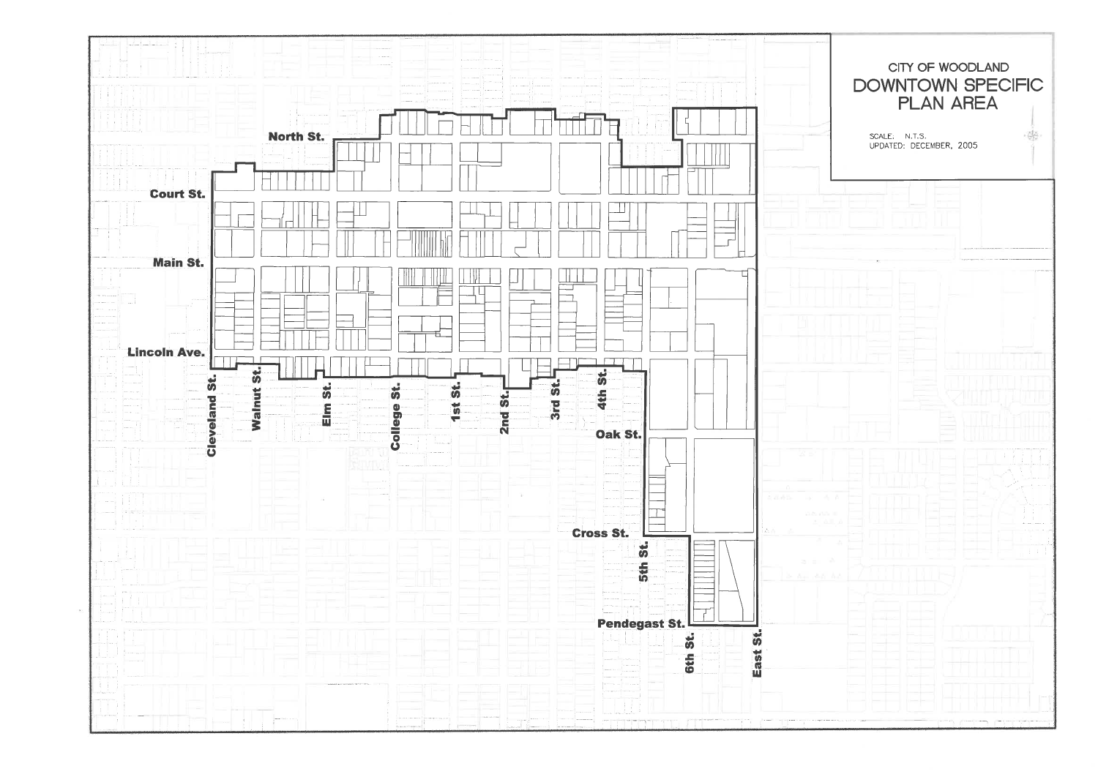